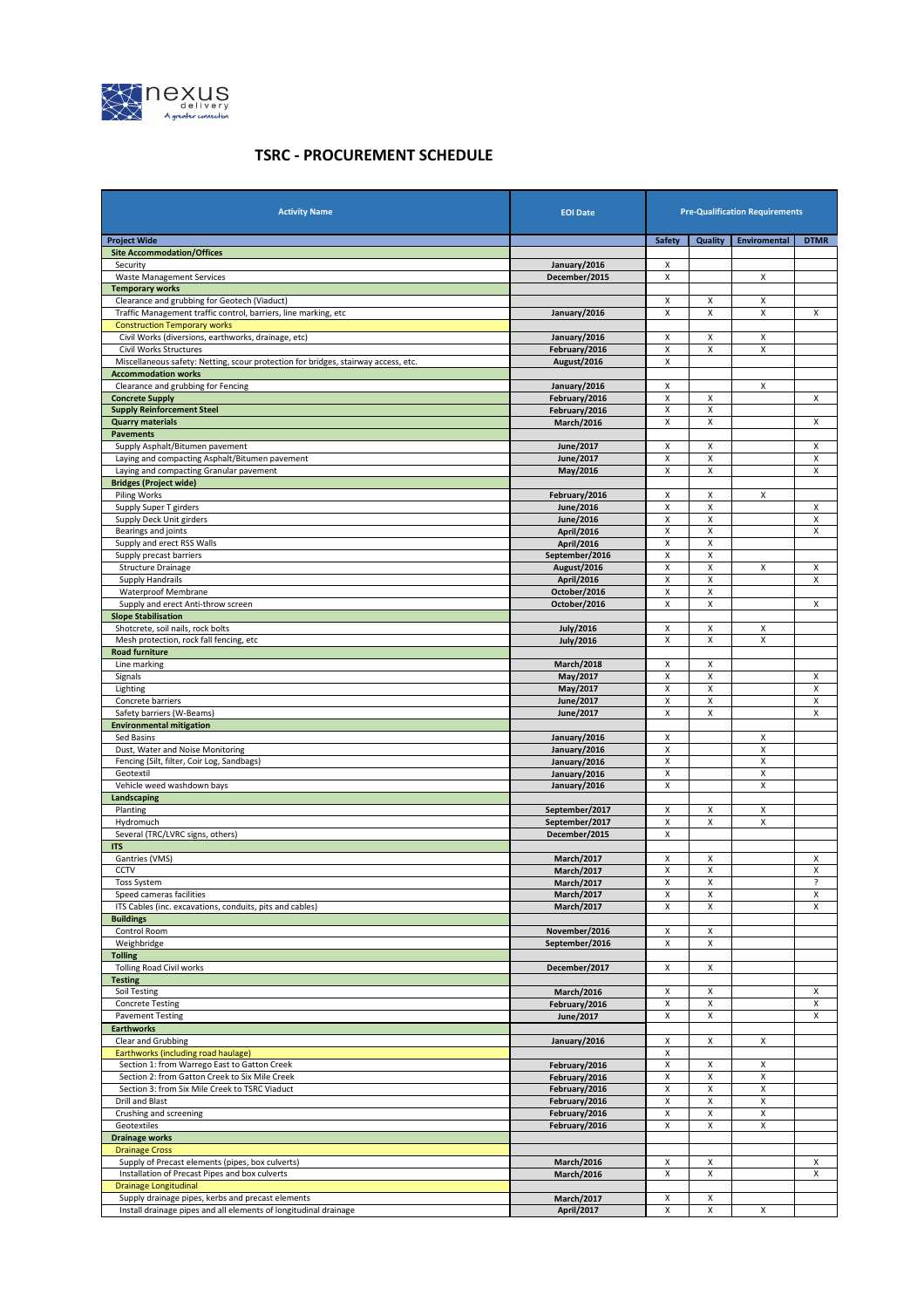

## TSRC - PROCUREMENT SCHEDULE

| <b>Activity Name</b>                                                                                             | <b>EOI Date</b>                        | <b>Pre-Qualification Requirements</b> |         |                     |             |
|------------------------------------------------------------------------------------------------------------------|----------------------------------------|---------------------------------------|---------|---------------------|-------------|
| <b>Project Wide</b>                                                                                              |                                        | <b>Safety</b>                         | Quality | <b>Enviromental</b> | <b>DTMR</b> |
| <b>Site Accommodation/Offices</b>                                                                                |                                        |                                       |         |                     |             |
| Security                                                                                                         | January/2016                           | X                                     |         |                     |             |
| <b>Waste Management Services</b><br><b>Temporary works</b>                                                       | December/2015                          | X                                     |         | X                   |             |
| Clearance and grubbing for Geotech (Viaduct)                                                                     |                                        | X                                     | Χ       | Χ                   |             |
| Traffic Management traffic control, barriers, line marking, etc                                                  | January/2016                           | х                                     | X       | x                   | х           |
| <b>Construction Temporary works</b>                                                                              |                                        |                                       |         |                     |             |
| Civil Works (diversions, earthworks, drainage, etc)                                                              | January/2016                           | X                                     | х       | x                   |             |
| Civil Works Structures                                                                                           | February/2016                          | х                                     | х       | X                   |             |
| Miscellaneous safety: Netting, scour protection for bridges, stairway access, etc.<br><b>Accommodation works</b> | August/2016                            | Χ                                     |         |                     |             |
| Clearance and grubbing for Fencing                                                                               | January/2016                           | х                                     |         | X                   |             |
| <b>Concrete Supply</b>                                                                                           | February/2016                          | Χ                                     | X       |                     | X           |
| <b>Supply Reinforcement Steel</b>                                                                                | February/2016                          | X                                     | X       |                     |             |
| <b>Quarry materials</b>                                                                                          | <b>March/2016</b>                      | X                                     | X       |                     | X           |
| <b>Pavements</b>                                                                                                 |                                        |                                       |         |                     |             |
| Supply Asphalt/Bitumen pavement                                                                                  | June/2017                              | х                                     | х       |                     | х           |
| Laying and compacting Asphalt/Bitumen pavement                                                                   | June/2017<br>May/2016                  | X<br>х                                | X<br>х  |                     | X<br>х      |
| Laying and compacting Granular pavement<br><b>Bridges (Project wide)</b>                                         |                                        |                                       |         |                     |             |
| Piling Works                                                                                                     | February/2016                          | х                                     | X       | x                   |             |
| Supply Super T girders                                                                                           | June/2016                              | X                                     | x       |                     | X           |
| Supply Deck Unit girders                                                                                         | June/2016                              | X                                     | X       |                     | X           |
| Bearings and joints                                                                                              | April/2016                             | х                                     | x       |                     | x           |
| Supply and erect RSS Walls                                                                                       | April/2016                             | X                                     | Χ       |                     |             |
| Supply precast barriers                                                                                          | September/2016                         | Х                                     | х       |                     |             |
| <b>Structure Drainage</b>                                                                                        | August/2016                            | X                                     | X       | X                   | х           |
| <b>Supply Handrails</b><br><b>Waterproof Membrane</b>                                                            | April/2016<br>October/2016             | X<br>X                                | X<br>X  |                     | X           |
| Supply and erect Anti-throw screen                                                                               | October/2016                           | X                                     | Χ       |                     | X           |
| <b>Slope Stabilisation</b>                                                                                       |                                        |                                       |         |                     |             |
| Shotcrete, soil nails, rock bolts                                                                                | <b>July/2016</b>                       | X                                     | X       | X                   |             |
| Mesh protection, rock fall fencing, etc                                                                          | <b>July/2016</b>                       | X                                     | X       | Χ                   |             |
| <b>Road furniture</b>                                                                                            |                                        |                                       |         |                     |             |
| Line marking                                                                                                     | <b>March/2018</b>                      | X                                     | X       |                     |             |
| Signals                                                                                                          | May/2017                               | X                                     | x       |                     | х           |
| Lighting<br>Concrete barriers                                                                                    | May/2017<br><b>June/2017</b>           | X<br>X                                | Χ<br>X  |                     | X<br>X      |
| Safety barriers (W-Beams)                                                                                        | June/2017                              | х                                     | х       |                     | х           |
| <b>Environmental mitigation</b>                                                                                  |                                        |                                       |         |                     |             |
| Sed Basins                                                                                                       | January/2016                           | Х                                     |         | х                   |             |
| Dust, Water and Noise Monitoring                                                                                 | January/2016                           | X                                     |         | x                   |             |
| Fencing (Silt, filter, Coir Log, Sandbags)                                                                       | January/2016                           | X                                     |         | Χ                   |             |
| Geotextil                                                                                                        | January/2016                           | х                                     |         | X                   |             |
| Vehicle weed washdown bays                                                                                       | January/2016                           | X                                     |         | X                   |             |
| Landscaping<br>Planting                                                                                          | September/2017                         | X                                     | х       | X                   |             |
| Hydromuch                                                                                                        | September/2017                         | X                                     | X       | Χ                   |             |
| Several (TRC/LVRC signs, others)                                                                                 | December/2015                          | х                                     |         |                     |             |
| <b>ITS</b>                                                                                                       |                                        |                                       |         |                     |             |
| Gantries (VMS)                                                                                                   | <b>March/2017</b>                      | х                                     | х       |                     | х           |
| CCTV                                                                                                             | <b>March/2017</b>                      | X                                     | X       |                     | X           |
| <b>Toss System</b>                                                                                               | <b>March/2017</b>                      | X                                     | X       |                     | 2           |
| Speed cameras facilities<br>ITS Cables (inc. excavations, conduits, pits and cables)                             | <b>March/2017</b><br><b>March/2017</b> | х<br>X                                | х<br>X  |                     | х<br>X      |
| <b>Buildings</b>                                                                                                 |                                        |                                       |         |                     |             |
| Control Room                                                                                                     | November/2016                          | х                                     | х       |                     |             |
| Weighbridge                                                                                                      | September/2016                         | X                                     | х       |                     |             |
| <b>Tolling</b>                                                                                                   |                                        |                                       |         |                     |             |
| <b>Tolling Road Civil works</b>                                                                                  | December/2017                          | X                                     | X       |                     |             |
| <b>Testing</b>                                                                                                   |                                        |                                       |         |                     |             |
| Soil Testing                                                                                                     | <b>March/2016</b>                      | х<br>Χ                                | X       |                     | х<br>X      |
| <b>Concrete Testing</b><br><b>Pavement Testing</b>                                                               | February/2016<br>June/2017             | X                                     | Χ<br>x  |                     | х           |
| <b>Earthworks</b>                                                                                                |                                        |                                       |         |                     |             |
| Clear and Grubbing                                                                                               | January/2016                           | X                                     | х       | x                   |             |
| Earthworks (including road haulage)                                                                              |                                        | X                                     |         |                     |             |
| Section 1: from Warrego East to Gatton Creek                                                                     | February/2016                          | X                                     | Χ       | X                   |             |
| Section 2: from Gatton Creek to Six Mile Creek                                                                   | February/2016                          | X                                     | X       | Χ                   |             |
| Section 3: from Six Mile Creek to TSRC Viaduct                                                                   | February/2016                          | X                                     | x       | x                   |             |
| Drill and Blast                                                                                                  | February/2016                          | X                                     | х       | X                   |             |
| Crushing and screening<br>Geotextiles                                                                            | February/2016<br>February/2016         | X<br>X                                | Χ<br>x  | X<br>Χ              |             |
| <b>Drainage works</b>                                                                                            |                                        |                                       |         |                     |             |
| <b>Drainage Cross</b>                                                                                            |                                        |                                       |         |                     |             |
| Supply of Precast elements (pipes, box culverts)                                                                 | <b>March/2016</b>                      | X                                     | x       |                     | x           |
| Installation of Precast Pipes and box culverts                                                                   | <b>March/2016</b>                      | X                                     | Χ       |                     | X           |
| <b>Drainage Longitudinal</b>                                                                                     |                                        |                                       |         |                     |             |
| Supply drainage pipes, kerbs and precast elements                                                                | <b>March/2017</b>                      | х                                     | Χ       |                     |             |
| Install drainage pipes and all elements of longitudinal drainage                                                 | April/2017                             | X                                     | X       | x                   |             |